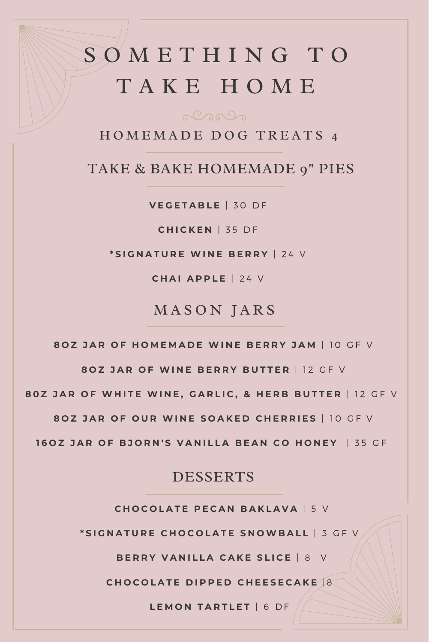## S O M E T H I N G T O T A K E H O M E

HOMEMADE DOG TREATS 4

TAKE & BAKE HOMEMADE 9" PIES

**V E G E T A B L E** | 3 0 D F

**C H IC K E N** | 3 5 D F

**\* S I G N A T U R E W I N E B E R R Y** | 2 4 V

**C H A IA P P L E** | 2 4 V

### MASON JARS

80Z JAR OF HOMEMADE WINE BERRY JAM | 10 GF V

**8 O Z J A R O F W I N E B E R R Y B U T T E R** | 1 2 G F V

80Z JAR OF WHITE WINE, GARLIC, & HERB BUTTER | 12 GF V

807 JAR OF OUR WINE SOAKED CHERRIES | 10 GF V

160Z JAR OF BJORN'S VANILLA BEAN CO HONEY | 35 GF

#### DESSERTS

 $CHOCOLATE$  PECAN BAKLAVA | 5 V

\*SIGNATURE CHOCOLATE SNOWBALL | 3 GF V

**B E R R Y V A N IL L A C A K E S L I C E** | 8 V

 $CHOCOLATE$  **DIPPED CHEESECAKE**<sup>[8]</sup>

**L E M O N T A R T L E T** | 6 D F